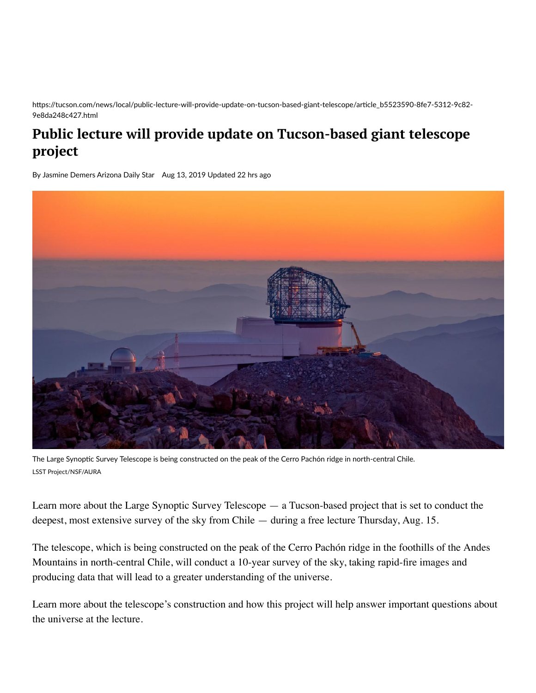https://tucson.com/news/local/public-lecture-will-provide-update-on-tucson-based-giant-telescope/article\_b5523590-8fe7-5312-9c82-9e8da248c427.html

## **Public lecture will provide update on Tucson-based giant telescope project**

By [Jasmine](https://tucson.com/users/profile/Jasmine%20Demers) Demers Arizona Daily Star Aug 13, 2019 Updated 22 hrs ago



The Large Synoptic Survey Telescope is being constructed on the peak of the Cerro Pachón ridge in north-central Chile. LSST Project/NSF/AURA

Learn more about the Large Synoptic Survey Telescope — a Tucson-based project that is set to conduct the deepest, most extensive survey of the sky from Chile — during a free lecture Thursday, Aug. 15.

The telescope, which is being constructed on the peak of the Cerro Pachón ridge in the foothills of the Andes Mountains in north-central Chile, will conduct a 10-year survey of the sky, taking rapid-fire images and producing data that will lead to a greater understanding of the universe.

Learn more about the telescope's construction and how this project will help answer important questions about the universe at the lecture.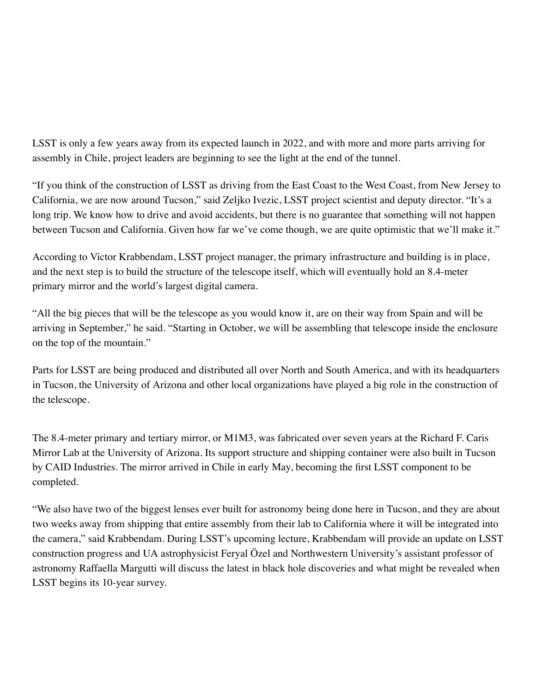LSST is only a few years away from its expected launch in 2022, and with more and more parts arriving for assembly in Chile, project leaders are beginning to see the light at the end of the tunnel.

"If you think of the construction of LSST as driving from the East Coast to the West Coast, from New Jersey to California, we are now around Tucson," said Zeljko Ivezic, LSST project scientist and deputy director. "It's a long trip. We know how to drive and avoid accidents, but there is no guarantee that something will not happen between Tucson and California. Given how far we've come though, we are quite optimistic that we'll make it."

According to Victor Krabbendam, LSST project manager, the primary infrastructure and building is in place, and the next step is to build the structure of the telescope itself, which will eventually hold an 8.4-meter primary mirror and the world's largest digital camera.

"All the big pieces that will be the telescope as you would know it, are on their way from Spain and will be arriving in September," he said. "Starting in October, we will be assembling that telescope inside the enclosure on the top of the mountain."

Parts for LSST are being produced and distributed all over North and South America, and with its headquarters in Tucson, the University of Arizona and other local organizations have played a big role in the construction of the telescope.

The 8.4-meter primary and tertiary mirror, or M1M3, was fabricated over seven years at the Richard F. Caris Mirror Lab at the University of Arizona. Its support structure and shipping container were also built in Tucson by CAID Industries. The mirror arrived in Chile in early May, becoming the first LSST component to be completed.

"We also have two of the biggest lenses ever built for astronomy being done here in Tucson, and they are about two weeks away from shipping that entire assembly from their lab to California where it will be integrated into the camera," said Krabbendam. During LSST's upcoming lecture, Krabbendam will provide an update on LSST construction progress and UA astrophysicist Feryal Özel and Northwestern University's assistant professor of astronomy Raffaella Margutti will discuss the latest in black hole discoveries and what might be revealed when LSST begins its 10-year survey.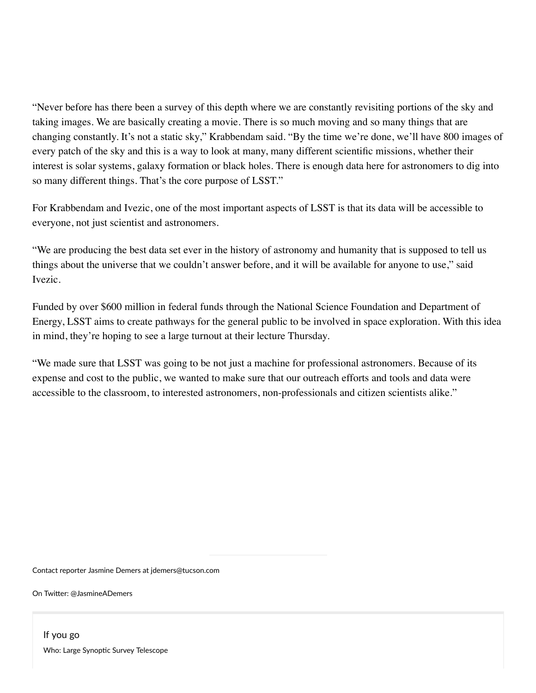"Never before has there been a survey of this depth where we are constantly revisiting portions of the sky and taking images. We are basically creating a movie. There is so much moving and so many things that are changing constantly. It's not a static sky," Krabbendam said. "By the time we're done, we'll have 800 images of every patch of the sky and this is a way to look at many, many different scientific missions, whether their interest is solar systems, galaxy formation or black holes. There is enough data here for astronomers to dig into so many different things. That's the core purpose of LSST."

For Krabbendam and Ivezic, one of the most important aspects of LSST is that its data will be accessible to everyone, not just scientist and astronomers.

"We are producing the best data set ever in the history of astronomy and humanity that is supposed to tell us things about the universe that we couldn't answer before, and it will be available for anyone to use," said Ivezic.

Funded by over \$600 million in federal funds through the National Science Foundation and Department of Energy, LSST aims to create pathways for the general public to be involved in space exploration. With this idea in mind, they're hoping to see a large turnout at their lecture Thursday.

"We made sure that LSST was going to be not just a machine for professional astronomers. Because of its expense and cost to the public, we wanted to make sure that our outreach efforts and tools and data were accessible to the classroom, to interested astronomers, non-professionals and citizen scientists alike."

Contact reporter Jasmine Demers at [jdemers@tucson.com](mailto:jdemers@tucson.com)

On Twitter: @JasmineADemers

If you go Who: Large Synoptic Survey Telescope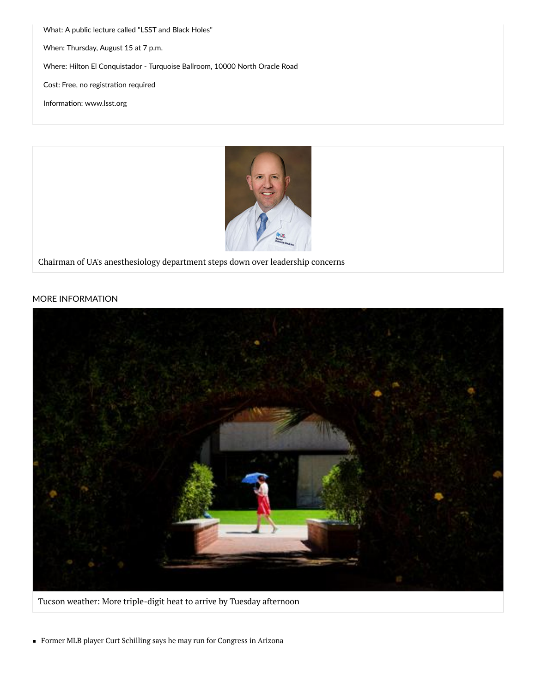What: A public lecture called "LSST and Black Holes" When: Thursday, August 15 at 7 p.m. Where: Hilton El Conquistador - Turquoise Ballroom, 10000 North Oracle Road Cost: Free, no registration required Information: [www.lsst.org](http://www.lsst.org/)



Chairman of UA's [anesthesiology](https://tucson.com/news/local/chairman-of-ua-s-anesthesiology-department-steps-down-over-leadership/article_5f2a242a-82ae-5478-acec-ae1275bea4a7.html) department steps down over leadership concerns

## MORE INFORMATION



Tucson weather: More [triple-digit](https://tucson.com/news/local/tucson-weather-more-triple-digit-heat-to-arrive-by-tuesday/article_4f353f34-bde1-11e9-87d4-ef7e39c55f65.html) heat to arrive by Tuesday afternoon

Former MLB player Curt Schilling says he may run for [Congress](https://tucson.com/news/state-and-regional/former-mlb-player-curt-schilling-says-he-may-run-for/article_6c91d698-be02-11e9-be5c-6fef93e7a5a9.html) in Arizona